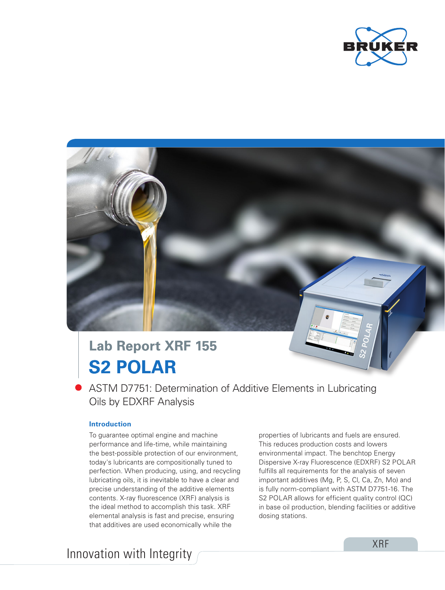

# **S2 POLAR Lab Report XRF 155**

ASTM D7751: Determination of Additive Elements in Lubricating Oils by EDXRF Analysis

# **Introduction**

To guarantee optimal engine and machine performance and life-time, while maintaining the best-possible protection of our environment, today's lubricants are compositionally tuned to perfection. When producing, using, and recycling lubricating oils, it is inevitable to have a clear and precise understanding of the additive elements contents. X-ray fluorescence (XRF) analysis is the ideal method to accomplish this task. XRF elemental analysis is fast and precise, ensuring that additives are used economically while the

properties of lubricants and fuels are ensured. This reduces production costs and lowers environmental impact. The benchtop Energy Dispersive X-ray Fluorescence (EDXRF) S2 POLAR fulfills all requirements for the analysis of seven important additives (Mg, P, S, Cl, Ca, Zn, Mo) and is fully norm-compliant with ASTM D7751-16. The S2 POLAR allows for efficient quality control (QC) in base oil production, blending facilities or additive dosing stations.

Innovation with Integrity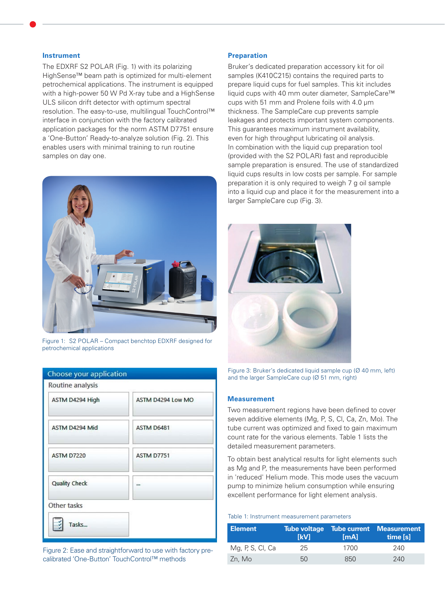#### **Instrument**

The EDXRF S2 POLAR (Fig. 1) with its polarizing HighSense™ beam path is optimized for multi-element petrochemical applications. The instrument is equipped with a high-power 50 W Pd X-ray tube and a HighSense ULS silicon drift detector with optimum spectral resolution. The easy-to-use, multilingual TouchControl™ interface in conjunction with the factory calibrated application packages for the norm ASTM D7751 ensure a 'One-Button' Ready-to-analyze solution (Fig. 2). This enables users with minimal training to run routine samples on day one.



Figure 1: S2 POLAR – Compact benchtop EDXRF designed for petrochemical applications

| Choose your application |                   |  |  |
|-------------------------|-------------------|--|--|
| Routine analysis        |                   |  |  |
| ASTM D4294 High         | ASTM D4294 Low MO |  |  |
| ASTM D4294 Mid          | ASTM D6481        |  |  |
| ASTM D7220              | ASTM D7751        |  |  |
| <b>Quality Check</b>    |                   |  |  |
| Other tasks             |                   |  |  |
| Tasks                   |                   |  |  |

Figure 2: Ease and straightforward to use with factory precalibrated 'One-Button' TouchControl™ methods

# **Preparation**

Bruker's dedicated preparation accessory kit for oil samples (K410C215) contains the required parts to prepare liquid cups for fuel samples. This kit includes liquid cups with 40 mm outer diameter, SampleCare™ cups with 51 mm and Prolene foils with 4.0 μm thickness. The SampleCare cup prevents sample leakages and protects important system components. This guarantees maximum instrument availability, even for high throughput lubricating oil analysis. In combination with the liquid cup preparation tool (provided with the S2 POLAR) fast and reproducible sample preparation is ensured. The use of standardized liquid cups results in low costs per sample. For sample preparation it is only required to weigh 7 g oil sample into a liquid cup and place it for the measurement into a larger SampleCare cup (Fig. 3).



Figure 3: Bruker's dedicated liquid sample cup (Ø 40 mm, left) and the larger SampleCare cup (Ø 51 mm, right)

## **Measurement**

Two measurement regions have been defined to cover seven additive elements (Mg, P, S, Cl, Ca, Zn, Mo). The tube current was optimized and fixed to gain maximum count rate for the various elements. Table 1 lists the detailed measurement parameters.

To obtain best analytical results for light elements such as Mg and P, the measurements have been performed in 'reduced' Helium mode. This mode uses the vacuum pump to minimize helium consumption while ensuring excellent performance for light element analysis.

#### Table 1: Instrument measurement parameters

| ∣ Element        | <b>IkVI</b> | [mA] | <b>Tube voltage Tube current Measurement</b><br>time [s] |
|------------------|-------------|------|----------------------------------------------------------|
| Mg, P, S, Cl, Ca | 25          | 1700 | 240                                                      |
| Zn. Mo           | 50          | 850  | 240                                                      |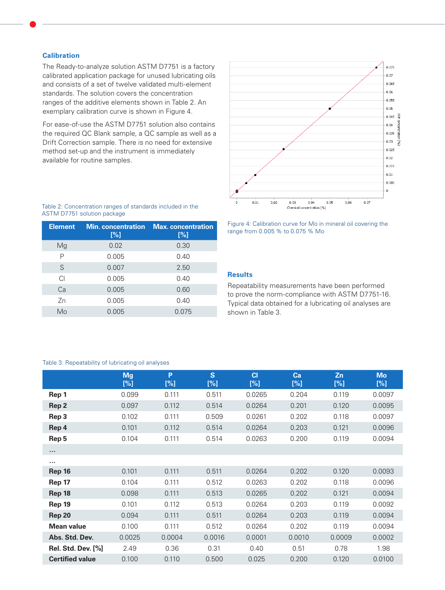# **Calibration**

The Ready-to-analyze solution ASTM D7751 is a factory calibrated application package for unused lubricating oils and consists of a set of twelve validated multi-element standards. The solution covers the concentration ranges of the additive elements shown in Table 2. An exemplary calibration curve is shown in Figure 4.

For ease-of-use the ASTM D7751 solution also contains the required QC Blank sample, a QC sample as well as a Drift Correction sample. There is no need for extensive method set-up and the instrument is immediately available for routine samples.



Table 2: Concentration ranges of standards included in the ASTM D7751 solution package

| <b>Min. concentration</b><br>[%] | <b>Max.</b> concentration<br>[%] |
|----------------------------------|----------------------------------|
| 0.02                             | 0.30                             |
| 0.005                            | 0.40                             |
| 0.007                            | 2.50                             |
| 0.005                            | 0.40                             |
| 0.005                            | 0.60                             |
| 0.005                            | 0.40                             |
| 0.005                            | 0.075                            |
|                                  |                                  |

Figure 4: Calibration curve for Mo in mineral oil covering the range from 0.005 % to 0.075 % Mo

# **Results**

Repeatability measurements have been performed to prove the norm-compliance with ASTM D7751-16. Typical data obtained for a lubricating oil analyses are shown in Table 3.

#### Table 3: Repeatability of lubricating oil analyses

|                           | Mg<br>[%] | P<br>[%] | S<br>[%] | C1<br>[%] | Ca<br>[%] | Zn<br>[%] | <b>Mo</b><br>[%] |
|---------------------------|-----------|----------|----------|-----------|-----------|-----------|------------------|
| Rep 1                     | 0.099     | 0.111    | 0.511    | 0.0265    | 0.204     | 0.119     | 0.0097           |
| Rep 2                     | 0.097     | 0.112    | 0.514    | 0.0264    | 0.201     | 0.120     | 0.0095           |
| Rep 3                     | 0.102     | 0.111    | 0.509    | 0.0261    | 0.202     | 0.118     | 0.0097           |
| Rep 4                     | 0.101     | 0.112    | 0.514    | 0.0264    | 0.203     | 0.121     | 0.0096           |
| Rep 5                     | 0.104     | 0.111    | 0.514    | 0.0263    | 0.200     | 0.119     | 0.0094           |
| $\sim$ $\sim$ $\sim$      |           |          |          |           |           |           |                  |
|                           |           |          |          |           |           |           |                  |
| <b>Rep 16</b>             | 0.101     | 0.111    | 0.511    | 0.0264    | 0.202     | 0.120     | 0.0093           |
| Rep 17                    | 0.104     | 0.111    | 0.512    | 0.0263    | 0.202     | 0.118     | 0.0096           |
| <b>Rep 18</b>             | 0.098     | 0.111    | 0.513    | 0.0265    | 0.202     | 0.121     | 0.0094           |
| <b>Rep 19</b>             | 0.101     | 0.112    | 0.513    | 0.0264    | 0.203     | 0.119     | 0.0092           |
| <b>Rep 20</b>             | 0.094     | 0.111    | 0.511    | 0.0264    | 0.203     | 0.119     | 0.0094           |
| <b>Mean value</b>         | 0.100     | 0.111    | 0.512    | 0.0264    | 0.202     | 0.119     | 0.0094           |
| Abs. Std. Dev.            | 0.0025    | 0.0004   | 0.0016   | 0.0001    | 0.0010    | 0.0009    | 0.0002           |
| <b>Rel. Std. Dev. [%]</b> | 2.49      | 0.36     | 0.31     | 0.40      | 0.51      | 0.78      | 1.98             |
| <b>Certified value</b>    | 0.100     | 0.110    | 0.500    | 0.025     | 0.200     | 0.120     | 0.0100           |